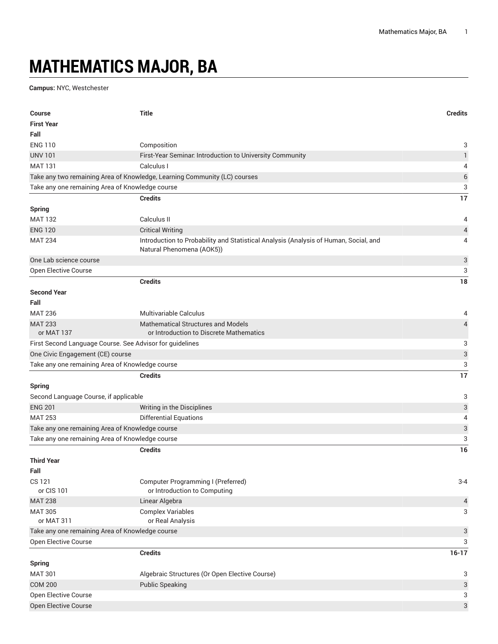## **MATHEMATICS MAJOR, BA**

**Campus:** NYC, Westchester

| <b>Course</b>                                   | <b>Title</b>                                                                                                      | <b>Credits</b>            |
|-------------------------------------------------|-------------------------------------------------------------------------------------------------------------------|---------------------------|
| <b>First Year</b>                               |                                                                                                                   |                           |
| Fall                                            |                                                                                                                   |                           |
| <b>ENG 110</b>                                  | Composition                                                                                                       | 3                         |
| <b>UNV 101</b>                                  | First-Year Seminar. Introduction to University Community                                                          | $\mathbf{1}$              |
| <b>MAT 131</b>                                  | Calculus I                                                                                                        | 4                         |
|                                                 | Take any two remaining Area of Knowledge, Learning Community (LC) courses                                         | $\,$ 6 $\,$               |
| Take any one remaining Area of Knowledge course |                                                                                                                   | 3                         |
|                                                 | <b>Credits</b>                                                                                                    | 17                        |
| <b>Spring</b>                                   |                                                                                                                   |                           |
| <b>MAT 132</b>                                  | Calculus II                                                                                                       | 4                         |
| <b>ENG 120</b>                                  | <b>Critical Writing</b>                                                                                           | $\sqrt{4}$                |
| <b>MAT 234</b>                                  | Introduction to Probability and Statistical Analysis (Analysis of Human, Social, and<br>Natural Phenomena (AOK5)) | 4                         |
| One Lab science course                          |                                                                                                                   | 3                         |
| Open Elective Course                            |                                                                                                                   | 3                         |
|                                                 | <b>Credits</b>                                                                                                    | 18                        |
| <b>Second Year</b>                              |                                                                                                                   |                           |
| Fall                                            |                                                                                                                   |                           |
| <b>MAT 236</b>                                  | Multivariable Calculus                                                                                            | 4                         |
| <b>MAT 233</b>                                  | <b>Mathematical Structures and Models</b>                                                                         | $\overline{4}$            |
| or MAT 137                                      | or Introduction to Discrete Mathematics                                                                           |                           |
|                                                 | First Second Language Course. See Advisor for guidelines                                                          | 3                         |
| One Civic Engagement (CE) course                |                                                                                                                   | $\ensuremath{\mathsf{3}}$ |
| Take any one remaining Area of Knowledge course |                                                                                                                   | 3                         |
|                                                 | <b>Credits</b>                                                                                                    | 17                        |
| <b>Spring</b>                                   |                                                                                                                   |                           |
| Second Language Course, if applicable           |                                                                                                                   | 3                         |
| <b>ENG 201</b>                                  | Writing in the Disciplines                                                                                        | $\ensuremath{\mathsf{3}}$ |
| <b>MAT 253</b>                                  | <b>Differential Equations</b>                                                                                     | 4                         |
| Take any one remaining Area of Knowledge course |                                                                                                                   | 3                         |
| Take any one remaining Area of Knowledge course |                                                                                                                   | 3                         |
|                                                 | <b>Credits</b>                                                                                                    | 16                        |
| <b>Third Year</b>                               |                                                                                                                   |                           |
| Fall                                            |                                                                                                                   |                           |
| <b>CS 121</b>                                   | <b>Computer Programming I (Preferred)</b>                                                                         | $3 - 4$                   |
| or CIS 101                                      | or Introduction to Computing                                                                                      |                           |
| <b>MAT 238</b>                                  | Linear Algebra                                                                                                    | 4                         |
| <b>MAT 305</b>                                  | <b>Complex Variables</b>                                                                                          | 3                         |
| or MAT 311                                      | or Real Analysis                                                                                                  |                           |
| Take any one remaining Area of Knowledge course |                                                                                                                   | 3                         |
| Open Elective Course                            |                                                                                                                   | 3                         |
|                                                 | <b>Credits</b>                                                                                                    | $16-17$                   |
| <b>Spring</b>                                   |                                                                                                                   |                           |
| <b>MAT 301</b>                                  | Algebraic Structures (Or Open Elective Course)                                                                    | 3                         |
| <b>COM 200</b>                                  | <b>Public Speaking</b>                                                                                            | 3                         |
| Open Elective Course                            |                                                                                                                   | 3                         |
| Open Elective Course                            |                                                                                                                   | 3                         |